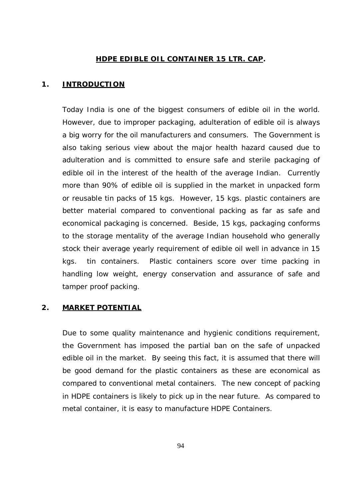## **HDPE EDIBLE OIL CONTAINER 15 LTR. CAP.**

### **1. INTRODUCTION**

Today India is one of the biggest consumers of edible oil in the world. However, due to improper packaging, adulteration of edible oil is always a big worry for the oil manufacturers and consumers. The Government is also taking serious view about the major health hazard caused due to adulteration and is committed to ensure safe and sterile packaging of edible oil in the interest of the health of the average Indian. Currently more than 90% of edible oil is supplied in the market in unpacked form or reusable tin packs of 15 kgs. However, 15 kgs. plastic containers are better material compared to conventional packing as far as safe and economical packaging is concerned. Beside, 15 kgs, packaging conforms to the storage mentality of the average Indian household who generally stock their average yearly requirement of edible oil well in advance in 15 kgs. tin containers. Plastic containers score over time packing in handling low weight, energy conservation and assurance of safe and tamper proof packing.

### **2. MARKET POTENTIAL**

Due to some quality maintenance and hygienic conditions requirement, the Government has imposed the partial ban on the safe of unpacked edible oil in the market. By seeing this fact, it is assumed that there will be good demand for the plastic containers as these are economical as compared to conventional metal containers. The new concept of packing in HDPE containers is likely to pick up in the near future. As compared to metal container, it is easy to manufacture HDPE Containers.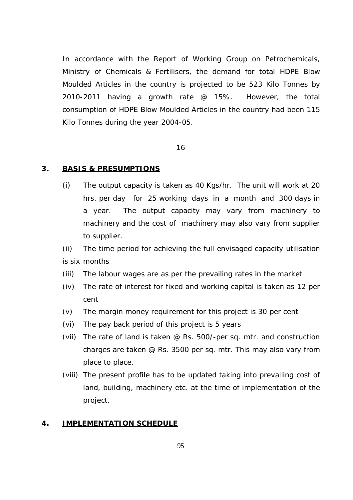In accordance with the Report of Working Group on Petrochemicals, Ministry of Chemicals & Fertilisers, the demand for total HDPE Blow Moulded Articles in the country is projected to be 523 Kilo Tonnes by 2010-2011 having a growth rate @ 15%. However, the total consumption of HDPE Blow Moulded Articles in the country had been 115 Kilo Tonnes during the year 2004-05.

#### 16

#### **3. BASIS & PRESUMPTIONS**

(i) The output capacity is taken as 40 Kgs/hr. The unit will work at 20 hrs. per day for 25 working days in a month and 300 days in a year. The output capacity may vary from machinery to machinery and the cost of machinery may also vary from supplier to supplier.

(ii) The time period for achieving the full envisaged capacity utilisation is six months

- (iii) The labour wages are as per the prevailing rates in the market
- (iv) The rate of interest for fixed and working capital is taken as 12 per cent
- (v) The margin money requirement for this project is 30 per cent
- (vi) The pay back period of this project is 5 years
- (vii) The rate of land is taken @ Rs. 500/-per sq. mtr. and construction charges are taken @ Rs. 3500 per sq. mtr. This may also vary from place to place.
- (viii) The present profile has to be updated taking into prevailing cost of land, building, machinery etc. at the time of implementation of the project.

#### **4. IMPLEMENTATION SCHEDULE**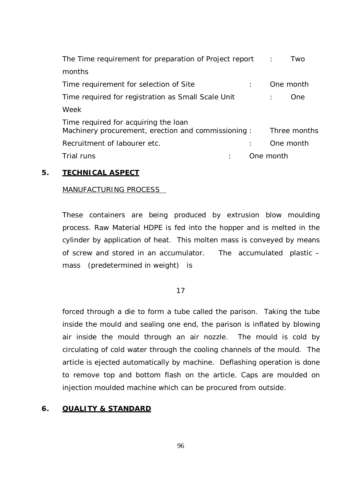| The Time requirement for preparation of Project report                                     | $\sim$ 1. | Two          |
|--------------------------------------------------------------------------------------------|-----------|--------------|
| months                                                                                     |           |              |
| Time requirement for selection of Site                                                     |           | One month    |
| Time required for registration as Small Scale Unit                                         |           | One.         |
| Week                                                                                       |           |              |
| Time required for acquiring the loan<br>Machinery procurement, erection and commissioning: |           | Three months |
| Recruitment of labourer etc.                                                               |           | One month    |
| Trial runs                                                                                 | One month |              |

## **5. TECHNICAL ASPECT**

### MANUFACTURING PROCESS

These containers are being produced by extrusion blow moulding process. Raw Material HDPE is fed into the hopper and is melted in the cylinder by application of heat. This molten mass is conveyed by means of screw and stored in an accumulator. The accumulated plastic – mass (predetermined in weight) is

17

forced through a die to form a tube called the parison. Taking the tube inside the mould and sealing one end, the parison is inflated by blowing air inside the mould through an air nozzle. The mould is cold by circulating of cold water through the cooling channels of the mould. The article is ejected automatically by machine. Deflashing operation is done to remove top and bottom flash on the article. Caps are moulded on injection moulded machine which can be procured from outside.

### **6. QUALITY & STANDARD**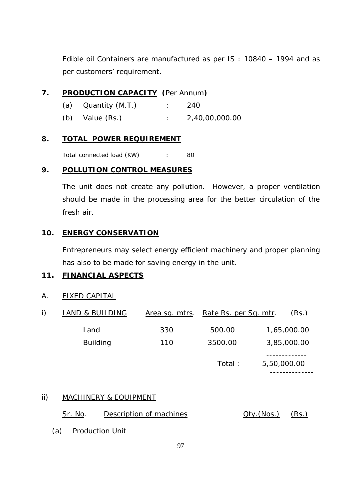Edible oil Containers are manufactured as per IS : 10840 – 1994 and as per customers' requirement.

# **7. PRODUCTION CAPACITY (**Per Annum**)**

- (a) Quantity (M.T.) : 240
- (b) Value (Rs.) : 2,40,00,000.00

## **8. TOTAL POWER REQUIREMENT**

Total connected load (KW) : 80

# **9. POLLUTION CONTROL MEASURES**

The unit does not create any pollution. However, a proper ventilation should be made in the processing area for the better circulation of the fresh air.

# **10. ENERGY CONSERVATION**

Entrepreneurs may select energy efficient machinery and proper planning has also to be made for saving energy in the unit.

# **11. FINANCIAL ASPECTS**

A. FIXED CAPITAL

| i) | <b>LAND &amp; BUILDING</b> |     | Area sq. mtrs. Rate Rs. per Sq. mtr. | (Rs.)                      |
|----|----------------------------|-----|--------------------------------------|----------------------------|
|    | Land                       | 330 | 500.00                               | 1,65,000.00                |
|    | <b>Building</b>            | 110 | 3500.00                              | 3,85,000.00                |
|    |                            |     | Total:                               | 5,50,000.00<br>----------- |

## ii) MACHINERY & EQUIPMENT

| Sr. No. | Description of machines | $Qty.(Nos.)$ $(Rs.)$ |  |
|---------|-------------------------|----------------------|--|
|---------|-------------------------|----------------------|--|

(a) Production Unit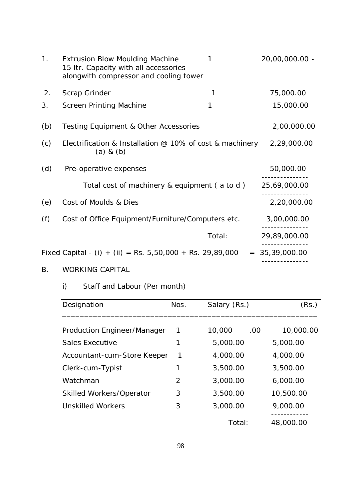| 1 <sub>1</sub> | <b>Extrusion Blow Moulding Machine</b><br>15 Itr. Capacity with all accessories<br>alongwith compressor and cooling tower | 1      | 20,00,000.00 -   |
|----------------|---------------------------------------------------------------------------------------------------------------------------|--------|------------------|
| 2.             | Scrap Grinder                                                                                                             | 1      | 75,000.00        |
| 3.             | <b>Screen Printing Machine</b>                                                                                            | 1      | 15,000.00        |
| (b)            | <b>Testing Equipment &amp; Other Accessories</b>                                                                          |        | 2,00,000.00      |
| (c)            | Electrification & Installation $@$ 10% of cost & machinery<br>$(a)$ & $(b)$                                               |        | 2,29,000.00      |
| (d)            | Pre-operative expenses                                                                                                    |        | 50,000.00        |
|                | Total cost of machinery & equipment (a to d)                                                                              |        | 25,69,000.00     |
| (e)            | Cost of Moulds & Dies                                                                                                     |        | 2,20,000.00      |
| (f)            | Cost of Office Equipment/Furniture/Computers etc.                                                                         |        | 3,00,000.00      |
|                |                                                                                                                           | Total: | 29,89,000.00     |
|                | Fixed Capital - (i) + (ii) = Rs. 5,50,000 + Rs. 29,89,000                                                                 |        | $= 35,39,000.00$ |

# B. WORKING CAPITAL

i) Staff and Labour (Per month)

| Designation                 | Nos. | Salary (Rs.)  | (Rs.)     |
|-----------------------------|------|---------------|-----------|
| Production Engineer/Manager | 1    | 10,000<br>.00 | 10,000.00 |
| Sales Executive             |      | 5,000.00      | 5,000.00  |
| Accountant-cum-Store Keeper | 1    | 4,000.00      | 4,000.00  |
| Clerk-cum-Typist            |      | 3,500.00      | 3,500.00  |
| Watchman                    | 2    | 3,000.00      | 6,000.00  |
| Skilled Workers/Operator    | 3    | 3,500.00      | 10,500.00 |
| <b>Unskilled Workers</b>    | 3    | 3,000.00      | 9,000.00  |
|                             |      | Total:        | 48,000.00 |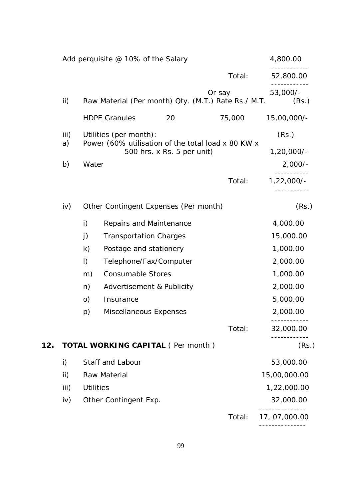|     |            |                  | Add perquisite @ 10% of the Salary       |                            |                                                               | 4,800.00              |
|-----|------------|------------------|------------------------------------------|----------------------------|---------------------------------------------------------------|-----------------------|
|     |            |                  |                                          |                            | Total:                                                        | 52,800.00             |
|     | ii)        |                  |                                          |                            | Or say<br>Raw Material (Per month) Qty. (M.T.) Rate Rs./ M.T. | 53,000/-<br>(Rs.)     |
|     |            |                  | <b>HDPE Granules</b>                     | 20                         | 75,000                                                        | 15,00,000/-           |
|     | iii)<br>a) |                  | Utilities (per month):                   | 500 hrs. x Rs. 5 per unit) | Power (60% utilisation of the total load x 80 KW x            | (Rs.)<br>$1,20,000/-$ |
|     | b)         | Water            |                                          |                            |                                                               | $2,000/-$             |
|     |            |                  |                                          |                            | Total:                                                        | $1,22,000/-$          |
|     | iv)        |                  | Other Contingent Expenses (Per month)    |                            |                                                               | (Rs.)                 |
|     |            | i)               | Repairs and Maintenance                  |                            |                                                               | 4,000.00              |
|     |            | j)               | <b>Transportation Charges</b>            |                            |                                                               | 15,000.00             |
|     |            | $\mathsf{k}$     | Postage and stationery                   |                            |                                                               | 1,000.00              |
|     |            | $\vert$ )        | Telephone/Fax/Computer                   |                            |                                                               | 2,000.00              |
|     |            | m)               | <b>Consumable Stores</b>                 |                            |                                                               | 1,000.00              |
|     |            | n)               | Advertisement & Publicity                |                            |                                                               | 2,000.00              |
|     |            | O)               | Insurance                                |                            |                                                               | 5,000.00              |
|     |            | p)               | Miscellaneous Expenses                   |                            |                                                               | 2,000.00              |
|     |            |                  |                                          |                            | Total:                                                        | 32,000.00             |
| 12. |            |                  | <b>TOTAL WORKING CAPITAL (Per month)</b> |                            |                                                               | (Rs.)                 |
|     | i)         |                  | Staff and Labour                         |                            |                                                               | 53,000.00             |
|     | ii)        |                  | Raw Material                             |                            |                                                               | 15,00,000.00          |
|     | iii)       | <b>Utilities</b> |                                          |                            |                                                               | 1,22,000.00           |
|     | iv)        |                  | Other Contingent Exp.                    |                            |                                                               | 32,000.00             |
|     |            |                  |                                          |                            | Total:                                                        | 17, 07,000.00         |
|     |            |                  |                                          |                            |                                                               |                       |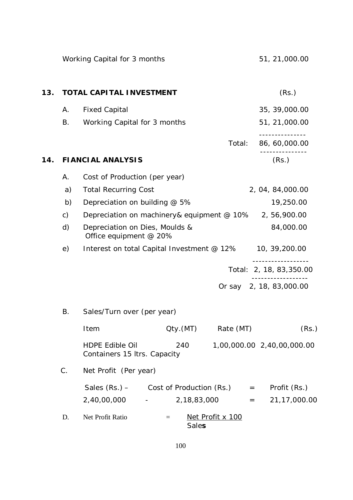|     |       | Working Capital for 3 months                                  |                  | 51, 21,000.00              |
|-----|-------|---------------------------------------------------------------|------------------|----------------------------|
| 13. |       | <b>TOTAL CAPITAL INVESTMENT</b>                               |                  | (Rs.)                      |
|     | А.    | <b>Fixed Capital</b>                                          |                  | 35, 39,000.00              |
|     | Β.    | Working Capital for 3 months                                  |                  | 51, 21,000.00              |
|     |       |                                                               | Total:           | 86, 60,000.00              |
| 14. |       | <b>FIANCIAL ANALYSIS</b>                                      |                  | (Rs.)                      |
|     | Α.    | Cost of Production (per year)                                 |                  |                            |
|     | a)    | <b>Total Recurring Cost</b>                                   |                  | 2, 04, 84,000.00           |
|     | b)    | Depreciation on building @ 5%                                 |                  | 19,250.00                  |
|     | c)    | Depreciation on machinery& equipment @ 10%                    |                  | 2, 56, 900.00              |
|     | d)    | Depreciation on Dies, Moulds &<br>Office equipment @ 20%      |                  | 84,000.00                  |
|     | e)    | Interest on total Capital Investment @ 12%                    |                  | 10, 39, 200.00             |
|     |       |                                                               |                  | Total: 2, 18, 83, 350.00   |
|     |       |                                                               |                  | Or say 2, 18, 83,000.00    |
|     | В.    | Sales/Turn over (per year)                                    |                  |                            |
|     |       | Qty.(MT)<br>Item                                              | Rate (MT)        | (Rs.)                      |
|     |       | <b>HDPE Edible Oil</b><br>240<br>Containers 15 Itrs. Capacity |                  | 1,00,000.00 2,40,00,000.00 |
|     | $C$ . | Net Profit (Per year)                                         |                  |                            |
|     |       | Sales $(Rs.) -$<br>$Cost of Production (Rs.)$ =               |                  | Profit (Rs.)               |
|     |       | 2,40,00,000<br>2,18,83,000                                    |                  | 21, 17, 000.00<br>$=$      |
|     | D.    | Net Profit Ratio<br>$=$<br><b>Sales</b>                       | Net Profit x 100 |                            |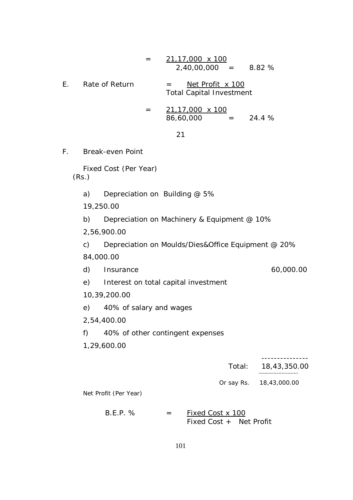$$
= 21,17,000 \times 100
$$
\n
$$
= 21,17,000 \times 100
$$
\n
$$
= 8.82 %
$$
\nE. Rate of Return  
\nTotal Capital Investment  
\nTotal Capital Investment  
\n
$$
= \frac{21,17,000 \times 100}{86,60,000} = 24.4 %
$$
\n
$$
= 21
$$
\nF. Break-even Point  
\nFixed Cost (Per Year)  
\n(Rs.)  
\na) Depreciation on Building @ 5%  
\n19,250.00  
\nb) Depreciation on Machinery & Equipment @ 10%  
\n2,56,900.00  
\nc) Depreciation on Moulds/Dies&Office Equipment @ 20%  
\n84,000.00  
\nd) Insurance  
\ne) Interest on total capital investment  
\n10,39,200.00  
\ne) 40% of salary and wages  
\n2,54,400.00  
\nf) 40% of salary and wages  
\n2,54,400.00  
\nf) 40% of other contingent expenses  
\n1,29,600.00  
\nTotal:  
\nTotal:  
\n18,43,350.00  
\n18,43,350.00  
\n18,43,300.00  
\nNet Profit (Per Year)

 $B.E.P. % = Fixed Cost x 100$ Fixed Cost + Net Profit